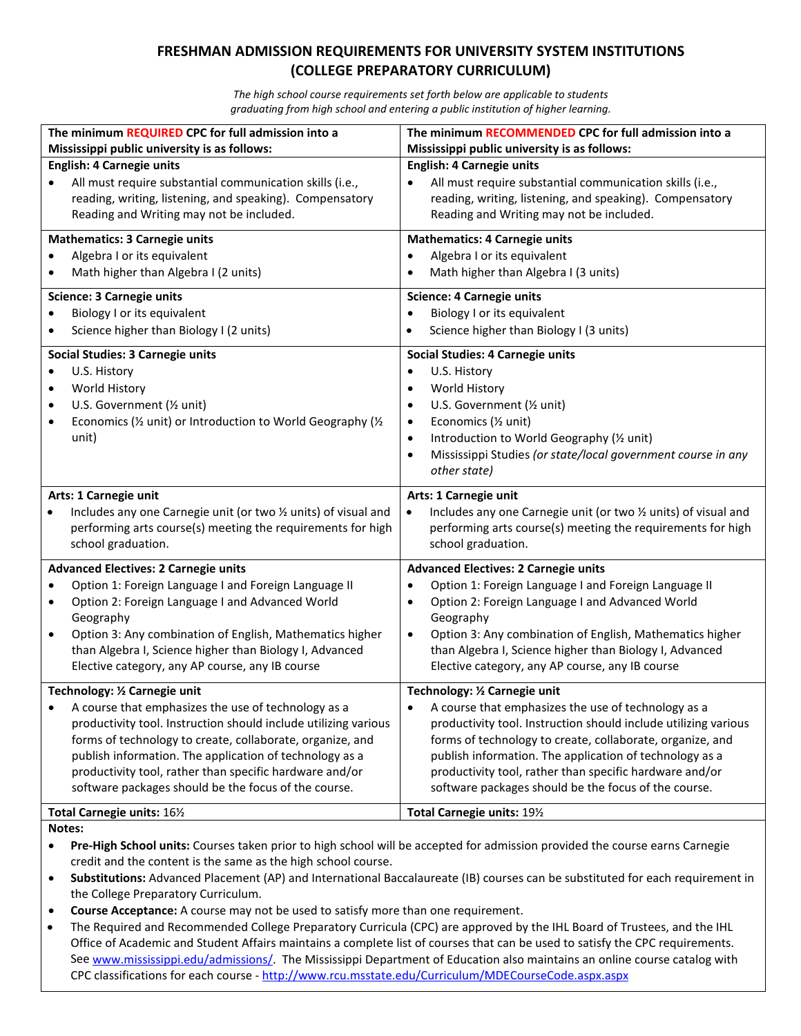## **FRESHMAN ADMISSION REQUIREMENTS FOR UNIVERSITY SYSTEM INSTITUTIONS (COLLEGE PREPARATORY CURRICULUM)**

*The high school course requirements set forth below are applicable to students graduating from high school and entering a public institution of higher learning.*

| The minimum REQUIRED CPC for full admission into a<br>Mississippi public university is as follows:                                                       | The minimum RECOMMENDED CPC for full admission into a<br>Mississippi public university is as follows:                                                    |  |  |
|----------------------------------------------------------------------------------------------------------------------------------------------------------|----------------------------------------------------------------------------------------------------------------------------------------------------------|--|--|
| <b>English: 4 Carnegie units</b><br>All must require substantial communication skills (i.e.,<br>reading, writing, listening, and speaking). Compensatory | <b>English: 4 Carnegie units</b><br>All must require substantial communication skills (i.e.,<br>reading, writing, listening, and speaking). Compensatory |  |  |
| Reading and Writing may not be included.                                                                                                                 | Reading and Writing may not be included.                                                                                                                 |  |  |
| <b>Mathematics: 3 Carnegie units</b><br>Algebra I or its equivalent                                                                                      | <b>Mathematics: 4 Carnegie units</b><br>Algebra I or its equivalent                                                                                      |  |  |
| Math higher than Algebra I (2 units)                                                                                                                     | Math higher than Algebra I (3 units)                                                                                                                     |  |  |
| <b>Science: 3 Carnegie units</b>                                                                                                                         | <b>Science: 4 Carnegie units</b>                                                                                                                         |  |  |
| Biology I or its equivalent<br>Science higher than Biology I (2 units)                                                                                   | Biology I or its equivalent<br>$\bullet$<br>Science higher than Biology I (3 units)<br>$\bullet$                                                         |  |  |
| <b>Social Studies: 3 Carnegie units</b>                                                                                                                  | <b>Social Studies: 4 Carnegie units</b>                                                                                                                  |  |  |
| U.S. History<br>World History<br>$\bullet$                                                                                                               | U.S. History<br>$\bullet$<br>World History<br>$\bullet$                                                                                                  |  |  |
| U.S. Government (1/2 unit)<br>$\bullet$                                                                                                                  | U.S. Government (1/2 unit)<br>٠                                                                                                                          |  |  |
| Economics (1/2 unit) or Introduction to World Geography (1/2                                                                                             | Economics (1/2 unit)<br>$\bullet$                                                                                                                        |  |  |
| unit)                                                                                                                                                    | Introduction to World Geography (1/2 unit)<br>$\bullet$                                                                                                  |  |  |
|                                                                                                                                                          | Mississippi Studies (or state/local government course in any<br>$\bullet$<br>other state)                                                                |  |  |
| Arts: 1 Carnegie unit                                                                                                                                    | Arts: 1 Carnegie unit                                                                                                                                    |  |  |
| Includes any one Carnegie unit (or two 1/2 units) of visual and                                                                                          | Includes any one Carnegie unit (or two 1/2 units) of visual and<br>$\bullet$                                                                             |  |  |
| performing arts course(s) meeting the requirements for high<br>school graduation.                                                                        | performing arts course(s) meeting the requirements for high<br>school graduation.                                                                        |  |  |
| <b>Advanced Electives: 2 Carnegie units</b>                                                                                                              | <b>Advanced Electives: 2 Carnegie units</b>                                                                                                              |  |  |
| Option 1: Foreign Language I and Foreign Language II                                                                                                     | Option 1: Foreign Language I and Foreign Language II                                                                                                     |  |  |
| Option 2: Foreign Language I and Advanced World<br>$\bullet$<br>Geography                                                                                | Option 2: Foreign Language I and Advanced World<br>٠<br>Geography                                                                                        |  |  |
| Option 3: Any combination of English, Mathematics higher<br>$\bullet$                                                                                    | Option 3: Any combination of English, Mathematics higher<br>$\bullet$                                                                                    |  |  |
| than Algebra I, Science higher than Biology I, Advanced                                                                                                  | than Algebra I, Science higher than Biology I, Advanced                                                                                                  |  |  |
| Elective category, any AP course, any IB course                                                                                                          | Elective category, any AP course, any IB course                                                                                                          |  |  |
| Technology: 1/2 Carnegie unit                                                                                                                            | Technology: 1/2 Carnegie unit<br>A course that emphasizes the use of technology as a                                                                     |  |  |
| A course that emphasizes the use of technology as a<br>productivity tool. Instruction should include utilizing various                                   | productivity tool. Instruction should include utilizing various                                                                                          |  |  |
| forms of technology to create, collaborate, organize, and                                                                                                | forms of technology to create, collaborate, organize, and                                                                                                |  |  |
| publish information. The application of technology as a                                                                                                  | publish information. The application of technology as a                                                                                                  |  |  |
| productivity tool, rather than specific hardware and/or<br>software packages should be the focus of the course.                                          | productivity tool, rather than specific hardware and/or<br>software packages should be the focus of the course.                                          |  |  |
| Total Carnegie units: 161/2                                                                                                                              | Total Carnegie units: 191/2                                                                                                                              |  |  |

## **Notes:**

- **Pre-High School units:** Courses taken prior to high school will be accepted for admission provided the course earns Carnegie credit and the content is the same as the high school course.
- **Substitutions:** Advanced Placement (AP) and International Baccalaureate (IB) courses can be substituted for each requirement in the College Preparatory Curriculum.
- **Course Acceptance:** A course may not be used to satisfy more than one requirement.
- The Required and Recommended College Preparatory Curricula (CPC) are approved by the IHL Board of Trustees, and the IHL Office of Academic and Student Affairs maintains a complete list of courses that can be used to satisfy the CPC requirements. See [www.mississippi.edu/admissions/.](http://www.mississippi.edu/admissions/) The Mississippi Department of Education also maintains an online course catalog with CPC classifications for each course - <http://www.rcu.msstate.edu/Curriculum/MDECourseCode.aspx.aspx>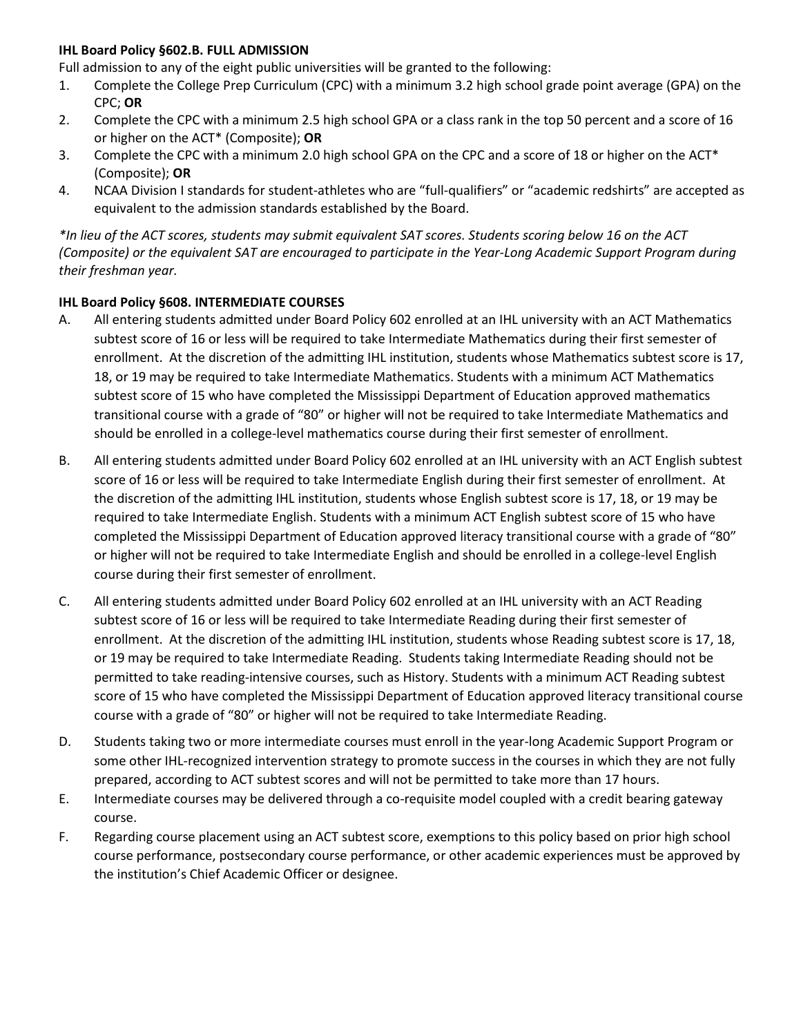## **IHL Board Policy §602.B. FULL ADMISSION**

Full admission to any of the eight public universities will be granted to the following:

- 1. Complete the College Prep Curriculum (CPC) with a minimum 3.2 high school grade point average (GPA) on the CPC; **OR**
- 2. Complete the CPC with a minimum 2.5 high school GPA or a class rank in the top 50 percent and a score of 16 or higher on the ACT\* (Composite); **OR**
- 3. Complete the CPC with a minimum 2.0 high school GPA on the CPC and a score of 18 or higher on the ACT\* (Composite); **OR**
- 4. NCAA Division I standards for student-athletes who are "full-qualifiers" or "academic redshirts" are accepted as equivalent to the admission standards established by the Board.

*\*In lieu of the ACT scores, students may submit equivalent SAT scores. Students scoring below 16 on the ACT (Composite) or the equivalent SAT are encouraged to participate in the Year-Long Academic Support Program during their freshman year.*

## **IHL Board Policy §608. INTERMEDIATE COURSES**

- A. All entering students admitted under Board Policy 602 enrolled at an IHL university with an ACT Mathematics subtest score of 16 or less will be required to take Intermediate Mathematics during their first semester of enrollment. At the discretion of the admitting IHL institution, students whose Mathematics subtest score is 17, 18, or 19 may be required to take Intermediate Mathematics. Students with a minimum ACT Mathematics subtest score of 15 who have completed the Mississippi Department of Education approved mathematics transitional course with a grade of "80" or higher will not be required to take Intermediate Mathematics and should be enrolled in a college-level mathematics course during their first semester of enrollment.
- B. All entering students admitted under Board Policy 602 enrolled at an IHL university with an ACT English subtest score of 16 or less will be required to take Intermediate English during their first semester of enrollment. At the discretion of the admitting IHL institution, students whose English subtest score is 17, 18, or 19 may be required to take Intermediate English. Students with a minimum ACT English subtest score of 15 who have completed the Mississippi Department of Education approved literacy transitional course with a grade of "80" or higher will not be required to take Intermediate English and should be enrolled in a college-level English course during their first semester of enrollment.
- C. All entering students admitted under Board Policy 602 enrolled at an IHL university with an ACT Reading subtest score of 16 or less will be required to take Intermediate Reading during their first semester of enrollment. At the discretion of the admitting IHL institution, students whose Reading subtest score is 17, 18, or 19 may be required to take Intermediate Reading. Students taking Intermediate Reading should not be permitted to take reading-intensive courses, such as History. Students with a minimum ACT Reading subtest score of 15 who have completed the Mississippi Department of Education approved literacy transitional course course with a grade of "80" or higher will not be required to take Intermediate Reading.
- D. Students taking two or more intermediate courses must enroll in the year-long Academic Support Program or some other IHL-recognized intervention strategy to promote success in the courses in which they are not fully prepared, according to ACT subtest scores and will not be permitted to take more than 17 hours.
- E. Intermediate courses may be delivered through a co-requisite model coupled with a credit bearing gateway course.
- F. Regarding course placement using an ACT subtest score, exemptions to this policy based on prior high school course performance, postsecondary course performance, or other academic experiences must be approved by the institution's Chief Academic Officer or designee.